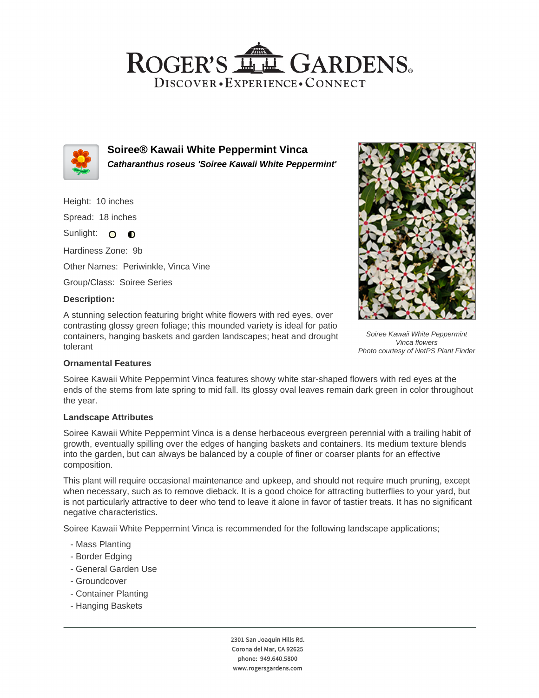## ROGER'S LL GARDENS. DISCOVER · EXPERIENCE · CONNECT



**Soiree® Kawaii White Peppermint Vinca Catharanthus roseus 'Soiree Kawaii White Peppermint'**

Height: 10 inches Spread: 18 inches Sunlight: O **O** 

Hardiness Zone: 9b

Other Names: Periwinkle, Vinca Vine

Group/Class: Soiree Series

#### **Description:**

A stunning selection featuring bright white flowers with red eyes, over contrasting glossy green foliage; this mounded variety is ideal for patio containers, hanging baskets and garden landscapes; heat and drought tolerant



Soiree Kawaii White Peppermint Vinca flowers Photo courtesy of NetPS Plant Finder

### **Ornamental Features**

Soiree Kawaii White Peppermint Vinca features showy white star-shaped flowers with red eyes at the ends of the stems from late spring to mid fall. Its glossy oval leaves remain dark green in color throughout the year.

### **Landscape Attributes**

Soiree Kawaii White Peppermint Vinca is a dense herbaceous evergreen perennial with a trailing habit of growth, eventually spilling over the edges of hanging baskets and containers. Its medium texture blends into the garden, but can always be balanced by a couple of finer or coarser plants for an effective composition.

This plant will require occasional maintenance and upkeep, and should not require much pruning, except when necessary, such as to remove dieback. It is a good choice for attracting butterflies to your yard, but is not particularly attractive to deer who tend to leave it alone in favor of tastier treats. It has no significant negative characteristics.

Soiree Kawaii White Peppermint Vinca is recommended for the following landscape applications;

- Mass Planting
- Border Edging
- General Garden Use
- Groundcover
- Container Planting
- Hanging Baskets

2301 San Joaquin Hills Rd. Corona del Mar, CA 92625 phone: 949.640.5800 www.rogersgardens.com